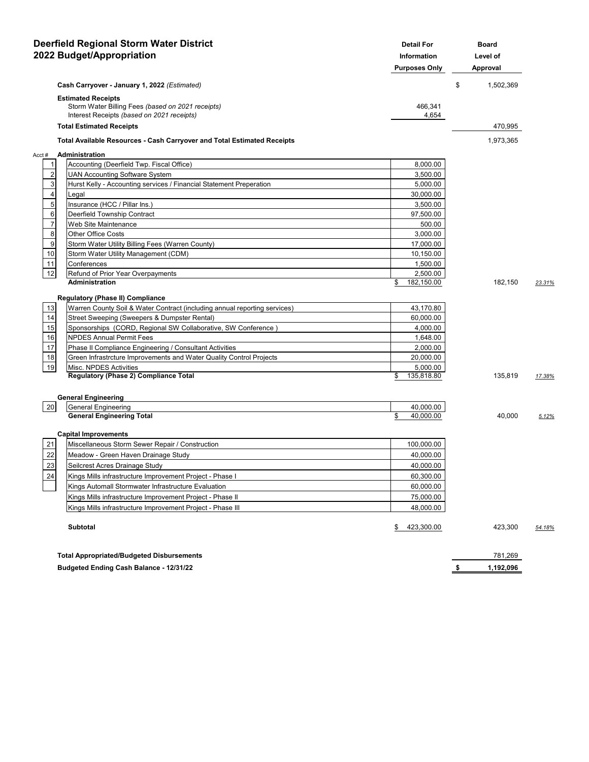| <b>Deerfield Regional Storm Water District</b><br>2022 Budget/Appropriation |                                                                                                                              | <b>Detail For</b><br>Information<br><b>Purposes Only</b> | <b>Board</b><br>Level of<br>Approval |        |
|-----------------------------------------------------------------------------|------------------------------------------------------------------------------------------------------------------------------|----------------------------------------------------------|--------------------------------------|--------|
|                                                                             | Cash Carryover - January 1, 2022 (Estimated)                                                                                 |                                                          | \$<br>1,502,369                      |        |
|                                                                             | <b>Estimated Receipts</b><br>Storm Water Billing Fees (based on 2021 receipts)<br>Interest Receipts (based on 2021 receipts) | 466,341<br>4,654                                         |                                      |        |
|                                                                             | <b>Total Estimated Receipts</b>                                                                                              |                                                          | 470,995                              |        |
|                                                                             | <b>Total Available Resources - Cash Carryover and Total Estimated Receipts</b>                                               |                                                          | 1,973,365                            |        |
| Acct#                                                                       | Administration                                                                                                               |                                                          |                                      |        |
| $\mathbf{1}$                                                                | Accounting (Deerfield Twp. Fiscal Office)                                                                                    | 8,000.00                                                 |                                      |        |
| $\overline{2}$                                                              | <b>UAN Accounting Software System</b>                                                                                        | 3,500.00                                                 |                                      |        |
| 3                                                                           | Hurst Kelly - Accounting services / Financial Statement Preperation                                                          | 5,000.00                                                 |                                      |        |
| $\overline{4}$                                                              | Legal                                                                                                                        | 30,000.00                                                |                                      |        |
| 5                                                                           | Insurance (HCC / Pillar Ins.)                                                                                                | 3,500.00                                                 |                                      |        |
| 6                                                                           | Deerfield Township Contract                                                                                                  | 97,500.00                                                |                                      |        |
| $\overline{7}$                                                              | Web Site Maintenance                                                                                                         | 500.00                                                   |                                      |        |
| 8                                                                           | Other Office Costs                                                                                                           | 3,000.00                                                 |                                      |        |
| 9                                                                           | Storm Water Utility Billing Fees (Warren County)                                                                             | 17,000.00                                                |                                      |        |
| 10                                                                          | Storm Water Utility Management (CDM)                                                                                         | 10,150.00                                                |                                      |        |
| 11                                                                          | Conferences                                                                                                                  | 1,500.00                                                 |                                      |        |
| 12                                                                          | Refund of Prior Year Overpayments                                                                                            | 2,500.00                                                 |                                      |        |
|                                                                             | <b>Administration</b>                                                                                                        | \$<br>182,150.00                                         | 182,150                              | 23.31% |
|                                                                             | <b>Regulatory (Phase II) Compliance</b>                                                                                      |                                                          |                                      |        |
| 13                                                                          | Warren County Soil & Water Contract (including annual reporting services)                                                    | 43,170.80                                                |                                      |        |
| 14                                                                          | Street Sweeping (Sweepers & Dumpster Rental)                                                                                 | 60,000.00                                                |                                      |        |
| 15                                                                          | Sponsorships (CORD, Regional SW Collaborative, SW Conference)                                                                | 4,000.00                                                 |                                      |        |
| 16                                                                          | <b>NPDES Annual Permit Fees</b>                                                                                              | 1,648.00                                                 |                                      |        |
| 17                                                                          | Phase II Compliance Engineering / Consultant Activities                                                                      | 2,000.00                                                 |                                      |        |
| 18                                                                          | Green Infrastrcture Improvements and Water Quality Control Projects                                                          | 20,000.00                                                |                                      |        |
| 19                                                                          | Misc. NPDES Activities                                                                                                       | 5,000.00                                                 |                                      |        |
|                                                                             | Regulatory (Phase 2) Compliance Total                                                                                        | \$<br>135,818.80                                         | 135,819                              | 17.38% |
|                                                                             |                                                                                                                              |                                                          |                                      |        |
| 20                                                                          | <b>General Engineering</b><br><b>General Engineering</b>                                                                     | 40,000.00                                                |                                      |        |
|                                                                             | <b>General Engineering Total</b>                                                                                             | \$<br>40,000.00                                          | 40,000                               | 5.12%  |
|                                                                             |                                                                                                                              |                                                          |                                      |        |
|                                                                             | <b>Capital Improvements</b>                                                                                                  |                                                          |                                      |        |
| 21                                                                          | Miscellaneous Storm Sewer Repair / Construction                                                                              | 100,000.00                                               |                                      |        |
| 22                                                                          | Meadow - Green Haven Drainage Study                                                                                          | 40,000.00                                                |                                      |        |
| 23                                                                          | Seilcrest Acres Drainage Study                                                                                               | 40,000.00                                                |                                      |        |
| 24                                                                          | Kings Mills infrastructure Improvement Project - Phase I                                                                     | 60,300.00                                                |                                      |        |
|                                                                             | Kings Automall Stormwater Infrastructure Evaluation                                                                          | 60,000.00                                                |                                      |        |
|                                                                             | Kings Mills infrastructure Improvement Project - Phase II                                                                    | 75,000.00                                                |                                      |        |
|                                                                             | Kings Mills infrastructure Improvement Project - Phase III                                                                   | 48,000.00                                                |                                      |        |
|                                                                             | <b>Subtotal</b>                                                                                                              | 423,300.00<br>\$                                         | 423,300                              | 54.18% |
|                                                                             | <b>Total Appropriated/Budgeted Disbursements</b>                                                                             |                                                          | 781,269                              |        |

**Budgeted Ending Cash Balance - 12/31/22 budgeted Ending Cash Balance - 12/31/22**